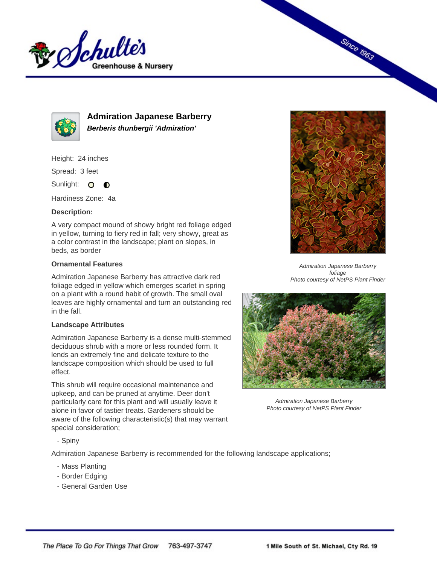



**Admiration Japanese Barberry Berberis thunbergii 'Admiration'**

Height: 24 inches

Spread: 3 feet

Sunlight: O **O** 

Hardiness Zone: 4a

## **Description:**

A very compact mound of showy bright red foliage edged in yellow, turning to fiery red in fall; very showy, great as a color contrast in the landscape; plant on slopes, in beds, as border

## **Ornamental Features**

Admiration Japanese Barberry has attractive dark red foliage edged in yellow which emerges scarlet in spring on a plant with a round habit of growth. The small oval leaves are highly ornamental and turn an outstanding red in the fall.

## **Landscape Attributes**

Admiration Japanese Barberry is a dense multi-stemmed deciduous shrub with a more or less rounded form. It lends an extremely fine and delicate texture to the landscape composition which should be used to full effect.

This shrub will require occasional maintenance and upkeep, and can be pruned at anytime. Deer don't particularly care for this plant and will usually leave it alone in favor of tastier treats. Gardeners should be aware of the following characteristic(s) that may warrant special consideration;



**Since 1963** 

Admiration Japanese Barberry foliage Photo courtesy of NetPS Plant Finder



Admiration Japanese Barberry Photo courtesy of NetPS Plant Finder

- Spiny

Admiration Japanese Barberry is recommended for the following landscape applications;

- Mass Planting
- Border Edging
- General Garden Use